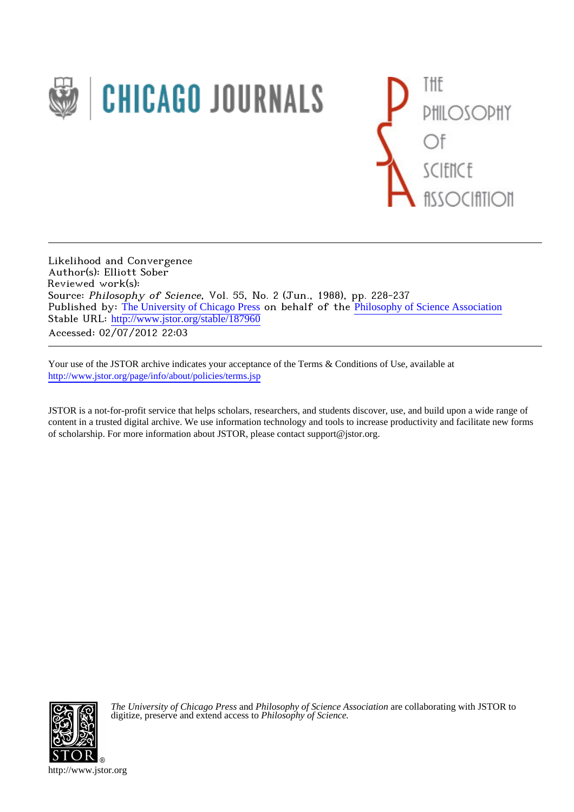



Likelihood and Convergence Author(s): Elliott Sober Reviewed work(s): Source: Philosophy of Science, Vol. 55, No. 2 (Jun., 1988), pp. 228-237 Published by: [The University of Chicago Press](http://www.jstor.org/action/showPublisher?publisherCode=ucpress) on behalf of the [Philosophy of Science Association](http://www.jstor.org/action/showPublisher?publisherCode=psa) Stable URL: http://www.jstor.org/stable/187960 Accessed: 02/07/2012 22:03

Your use of the JSTOR archive indicates your acceptance of the Terms & Conditions of Use, available at <http://www.jstor.org/page/info/about/policies/terms.jsp>

JSTOR is a not-for-profit service that helps scholars, researchers, and students discover, use, and build upon a wide range of content in a trusted digital archive. We use information technology and tools to increase productivity and facilitate new forms of scholarship. For more information about JSTOR, please contact support@jstor.org.



*The University of Chicago Press* and *Philosophy of Science Association* are collaborating with JSTOR to digitize, preserve and extend access to *Philosophy of Science.*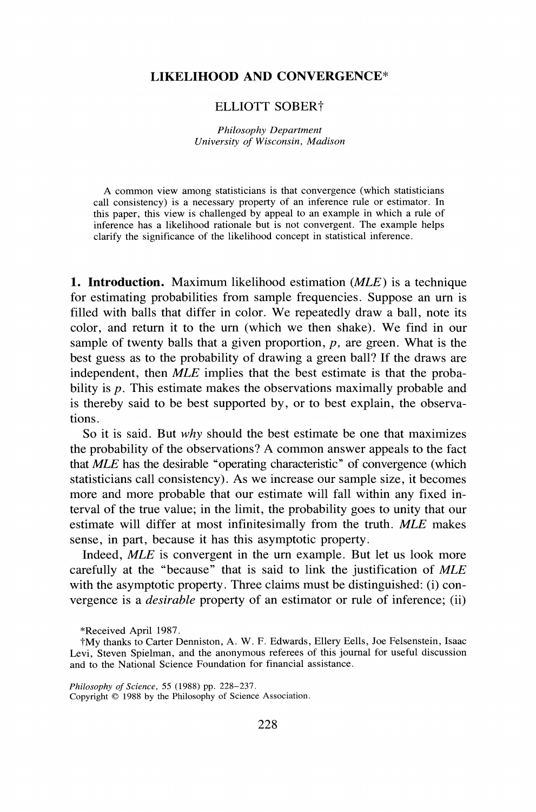# **LIKELIHOOD AND CONVERGENCE\***

### **ELLIOTT SOBERt**

#### **Philosophy Department University of Wisconsin, Madison**

**A common view among statisticians is that convergence (which statisticians call consistency) is a necessary property of an inference rule or estimator. In this paper, this view is challenged by appeal to an example in which a rule of inference has a likelihood rationale but is not convergent. The example helps clarify the significance of the likelihood concept in statistical inference.** 

**1. Introduction. Maximum likelihood estimation (MLE) is a technique for estimating probabilities from sample frequencies. Suppose an urn is filled with balls that differ in color. We repeatedly draw a ball, note its color, and return it to the urn (which we then shake). We find in our sample of twenty balls that a given proportion, p, are green. What is the best guess as to the probability of drawing a green ball? If the draws are independent, then MLE implies that the best estimate is that the probability is p. This estimate makes the observations maximally probable and is thereby said to be best supported by, or to best explain, the observations.** 

**So it is said. But why should the best estimate be one that maximizes the probability of the observations? A common answer appeals to the fact that MLE has the desirable "operating characteristic" of convergence (which statisticians call consistency). As we increase our sample size, it becomes more and more probable that our estimate will fall within any fixed interval of the true value; in the limit, the probability goes to unity that our estimate will differ at most infinitesimally from the truth. MLE makes sense, in part, because it has this asymptotic property.** 

**Indeed, MLE is convergent in the urn example. But let us look more carefully at the "because" that is said to link the justification of MLE with the asymptotic property. Three claims must be distinguished: (i) convergence is a desirable property of an estimator or rule of inference; (ii)** 

**Philosophy of Science, 55 (1988) pp. 228-237.** 

**Copyright ? 1988 by the Philosophy of Science Association.** 

**<sup>\*</sup>Received April 1987.** 

**tMy thanks to Carter Denniston, A. W. F. Edwards, Ellery Eells, Joe Felsenstein, Isaac Levi, Steven Spielman, and the anonymous referees of this journal for useful discussion and to the National Science Foundation for financial assistance.**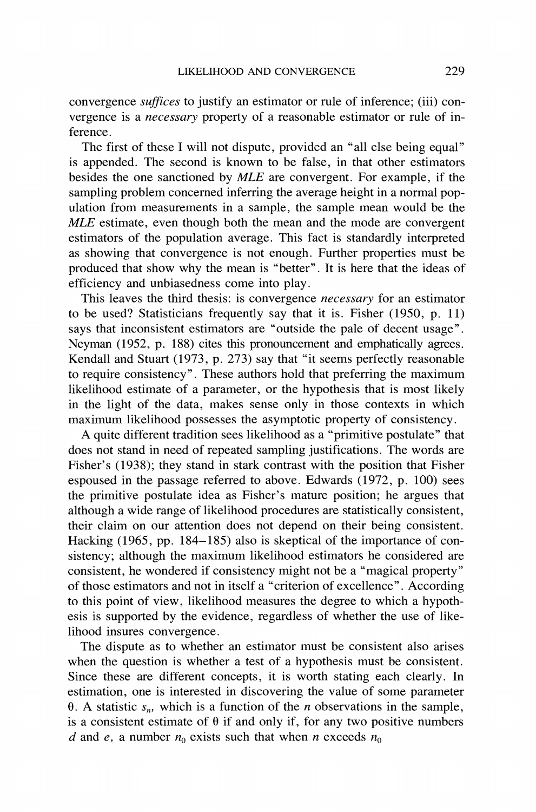**convergence suffices to justify an estimator or rule of inference; (iii) convergence is a necessary property of a reasonable estimator or rule of inference.** 

**The first of these I will not dispute, provided an "all else being equal" is appended. The second is known to be false, in that other estimators besides the one sanctioned by MLE are convergent. For example, if the sampling problem concerned inferring the average height in a normal population from measurements in a sample, the sample mean would be the MLE estimate, even though both the mean and the mode are convergent estimators of the population average. This fact is standardly interpreted as showing that convergence is not enough. Further properties must be produced that show why the mean is "better". It is here that the ideas of efficiency and unbiasedness come into play.** 

**This leaves the third thesis: is convergence necessary for an estimator to be used? Statisticians frequently say that it is. Fisher (1950, p. 11) says that inconsistent estimators are "outside the pale of decent usage". Neyman (1952, p. 188) cites this pronouncement and emphatically agrees. Kendall and Stuart (1973, p. 273) say that "it seems perfectly reasonable to require consistency". These authors hold that preferring the maximum likelihood estimate of a parameter, or the hypothesis that is most likely in the light of the data, makes sense only in those contexts in which maximum likelihood possesses the asymptotic property of consistency.** 

**A quite different tradition sees likelihood as a "primitive postulate" that does not stand in need of repeated sampling justifications. The words are Fisher's (1938); they stand in stark contrast with the position that Fisher espoused in the passage referred to above. Edwards (1972, p. 100) sees the primitive postulate idea as Fisher's mature position; he argues that although a wide range of likelihood procedures are statistically consistent, their claim on our attention does not depend on their being consistent. Hacking (1965, pp. 184-185) also is skeptical of the importance of consistency; although the maximum likelihood estimators he considered are consistent, he wondered if consistency might not be a "magical property" of those estimators and not in itself a "criterion of excellence". According to this point of view, likelihood measures the degree to which a hypothesis is supported by the evidence, regardless of whether the use of likelihood insures convergence.** 

**The dispute as to whether an estimator must be consistent also arises when the question is whether a test of a hypothesis must be consistent. Since these are different concepts, it is worth stating each clearly. In estimation, one is interested in discovering the value of some parameter**   $\theta$ . A statistic  $s_n$ , which is a function of the *n* observations in the sample, is a consistent estimate of  $\theta$  if and only if, for any two positive numbers *d* and *e*, a number  $n_0$  exists such that when *n* exceeds  $n_0$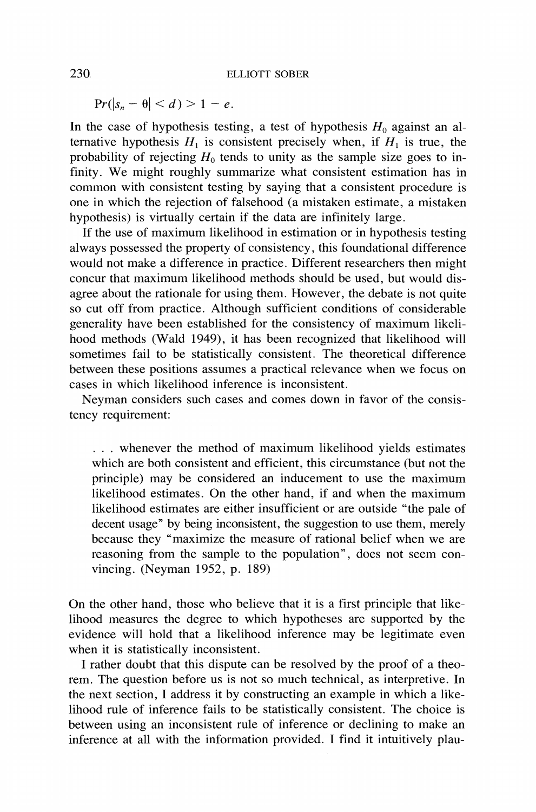$Pr(|s_n - \theta| < d) > 1 - e.$ 

In the case of hypothesis testing, a test of hypothesis  $H_0$  against an alternative hypothesis  $H_1$  is consistent precisely when, if  $H_1$  is true, the probability of rejecting  $H_0$  tends to unity as the sample size goes to in**finity. We might roughly summarize what consistent estimation has in common with consistent testing by saying that a consistent procedure is one in which the rejection of falsehood (a mistaken estimate, a mistaken hypothesis) is virtually certain if the data are infinitely large.** 

**If the use of maximum likelihood in estimation or in hypothesis testing always possessed the property of consistency, this foundational difference would not make a difference in practice. Different researchers then might concur that maximum likelihood methods should be used, but would disagree about the rationale for using them. However, the debate is not quite so cut off from practice. Although sufficient conditions of considerable generality have been established for the consistency of maximum likelihood methods (Wald 1949), it has been recognized that likelihood will sometimes fail to be statistically consistent. The theoretical difference between these positions assumes a practical relevance when we focus on cases in which likelihood inference is inconsistent.** 

**Neyman considers such cases and comes down in favor of the consistency requirement:** 

**. . .whenever the method of maximum likelihood yields estimates which are both consistent and efficient, this circumstance (but not the principle) may be considered an inducement to use the maximum likelihood estimates. On the other hand, if and when the maximum likelihood estimates are either insufficient or are outside "the pale of decent usage" by being inconsistent, the suggestion to use them, merely because they "maximize the measure of rational belief when we are reasoning from the sample to the population", does not seem convincing. (Neyman 1952, p. 189)** 

**On the other hand, those who believe that it is a first principle that likelihood measures the degree to which hypotheses are supported by the evidence will hold that a likelihood inference may be legitimate even when it is statistically inconsistent.** 

**I rather doubt that this dispute can be resolved by the proof of a theorem. The question before us is not so much technical, as interpretive. In the next section, I address it by constructing an example in which a likelihood rule of inference fails to be statistically consistent. The choice is between using an inconsistent rule of inference or declining to make an inference at all with the information provided. I find it intuitively plau-**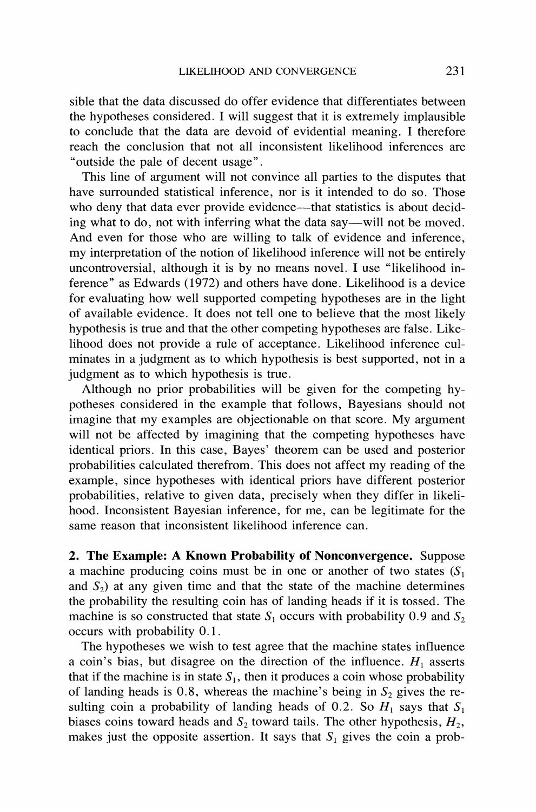**sible that the data discussed do offer evidence that differentiates between the hypotheses considered. I will suggest that it is extremely implausible to conclude that the data are devoid of evidential meaning. I therefore reach the conclusion that not all inconsistent likelihood inferences are "outside the pale of decent usage".** 

**This line of argument will not convince all parties to the disputes that have surrounded statistical inference, nor is it intended to do so. Those**  who deny that data ever provide evidence—that statistics is about deciding what to do, not with inferring what the data say—will not be moved. **And even for those who are willing to talk of evidence and inference, my interpretation of the notion of likelihood inference will not be entirely uncontroversial, although it is by no means novel. I use "likelihood inference" as Edwards (1972) and others have done. Likelihood is a device for evaluating how well supported competing hypotheses are in the light of available evidence. It does not tell one to believe that the most likely hypothesis is true and that the other competing hypotheses are false. Likelihood does not provide a rule of acceptance. Likelihood inference culminates in a judgment as to which hypothesis is best supported, not in a judgment as to which hypothesis is true.** 

**Although no prior probabilities will be given for the competing hypotheses considered in the example that follows, Bayesians should not imagine that my examples are objectionable on that score. My argument will not be affected by imagining that the competing hypotheses have identical priors. In this case, Bayes' theorem can be used and posterior probabilities calculated therefrom. This does not affect my reading of the example, since hypotheses with identical priors have different posterior probabilities, relative to given data, precisely when they differ in likelihood. Inconsistent Bayesian inference, for me, can be legitimate for the same reason that inconsistent likelihood inference can.** 

**2. The Example: A Known Probability of Nonconvergence. Suppose**  a machine producing coins must be in one or another of two states  $(S_1)$ and  $S_2$ ) at any given time and that the state of the machine determines **the probability the resulting coin has of landing heads if it is tossed. The**  machine is so constructed that state  $S_1$  occurs with probability 0.9 and  $S_2$ **occurs with probability 0.1.** 

**The hypotheses we wish to test agree that the machine states influence**  a coin's bias, but disagree on the direction of the influence.  $H_1$  asserts that if the machine is in state  $S_1$ , then it produces a coin whose probability of landing heads is 0.8, whereas the machine's being in  $S_2$  gives the resulting coin a probability of landing heads of 0.2. So  $H_1$  says that  $S_1$ biases coins toward heads and  $S_2$  toward tails. The other hypothesis,  $H_2$ , makes just the opposite assertion. It says that  $S_1$  gives the coin a prob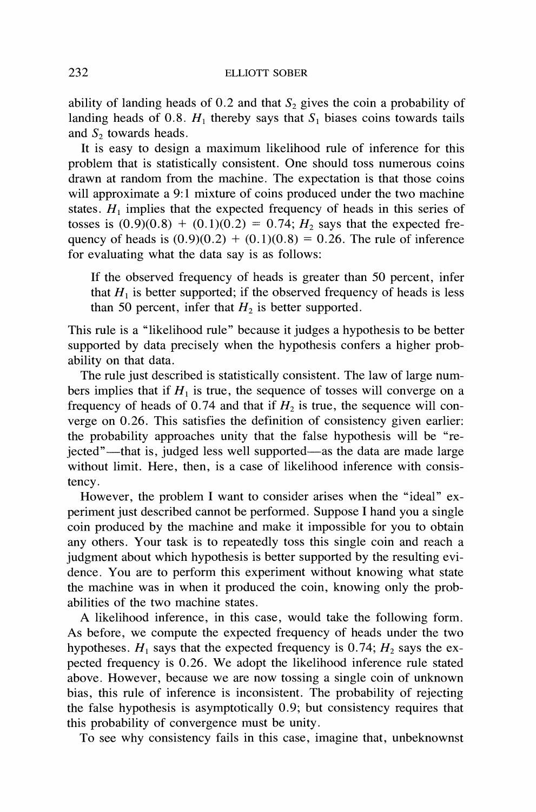ability of landing heads of  $0.2$  and that  $S<sub>2</sub>$  gives the coin a probability of landing heads of 0.8.  $H_1$  thereby says that  $S_1$  biases coins towards tails and  $S_2$  **towards** heads.

**It is easy to design a maximum likelihood rule of inference for this problem that is statistically consistent. One should toss numerous coins drawn at random from the machine. The expectation is that those coins will approximate a 9:1 mixture of coins produced under the two machine**  states.  $H_1$  implies that the expected frequency of heads in this series of tosses is  $(0.9)(0.8) + (0.1)(0.2) = 0.74$ ;  $H_2$  says that the expected frequency of heads is  $(0.9)(0.2) + (0.1)(0.8) = 0.26$ . The rule of inference **for evaluating what the data say is as follows:** 

**If the observed frequency of heads is greater than 50 percent, infer**  that  $H_1$  is better supported; if the observed frequency of heads is less than 50 percent, infer that  $H_2$  is better supported.

**This rule is a "likelihood rule" because it judges a hypothesis to be better supported by data precisely when the hypothesis confers a higher probability on that data.** 

**The rule just described is statistically consistent. The law of large num**bers implies that if  $H_1$  is true, the sequence of tosses will converge on a frequency of heads of  $0.74$  and that if  $H_2$  is true, the sequence will con**verge on 0.26. This satisfies the definition of consistency given earlier: the probability approaches unity that the false hypothesis will be "rejected"-that is, judged less well supported-as the data are made large without limit. Here, then, is a case of likelihood inference with consistency.** 

**However, the problem I want to consider arises when the "ideal" experiment just described cannot be performed. Suppose I hand you a single coin produced by the machine and make it impossible for you to obtain any others. Your task is to repeatedly toss this single coin and reach a judgment about which hypothesis is better supported by the resulting evidence. You are to perform this experiment without knowing what state the machine was in when it produced the coin, knowing only the probabilities of the two machine states.** 

**A likelihood inference, in this case, would take the following form. As before, we compute the expected frequency of heads under the two**  hypotheses.  $H_1$  says that the expected frequency is 0.74;  $H_2$  says the ex**pected frequency is 0.26. We adopt the likelihood inference rule stated above. However, because we are now tossing a single coin of unknown bias, this rule of inference is inconsistent. The probability of rejecting the false hypothesis is asymptotically 0.9; but consistency requires that this probability of convergence must be unity.** 

**To see why consistency fails in this case, imagine that, unbeknownst**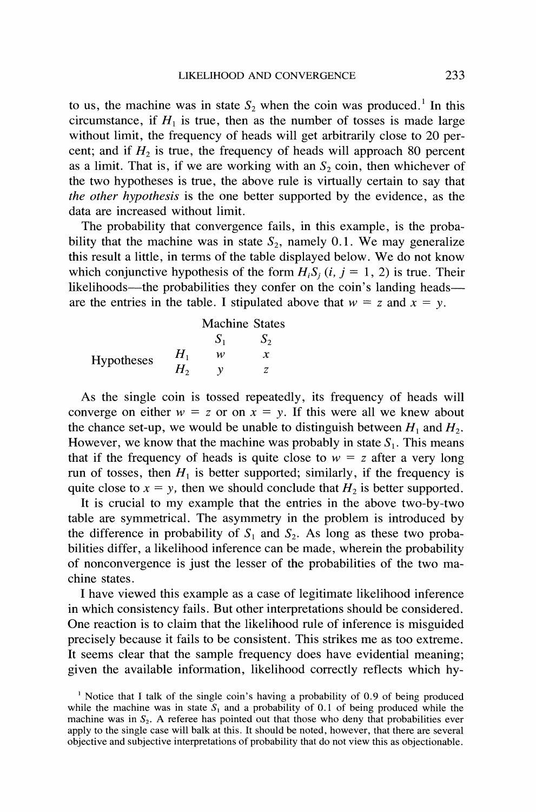to us, the machine was in state  $S_2$  when the coin was produced.<sup>1</sup> In this circumstance, if  $H_1$  is true, then as the number of tosses is made large **without limit, the frequency of heads will get arbitrarily close to 20 per**cent; and if  $H_2$  is true, the frequency of heads will approach 80 percent as a limit. That is, if we are working with an  $S_2$  coin, then whichever of **the two hypotheses is true, the above rule is virtually certain to say that the other hypothesis is the one better supported by the evidence, as the data are increased without limit.** 

**The probability that convergence fails, in this example, is the proba**bility that the machine was in state  $S_2$ , namely 0.1. We may generalize **this result a little, in terms of the table displayed below. We do not know**  which conjunctive hypothesis of the form  $H_iS_i$  (*i*, *j* = 1, 2) is true. Their likelihoods—the probabilities they confer on the coin's landing heads are the entries in the table. I stipulated above that  $w = z$  and  $x = y$ .

|            |    | <b>Machine States</b> |       |
|------------|----|-----------------------|-------|
|            |    | $S_1$                 | $S_2$ |
| Hypotheses | Н, | w                     | x     |
|            | Н, |                       |       |

**As the single coin is tossed repeatedly, its frequency of heads will**  converge on either  $w = z$  or on  $x = y$ . If this were all we knew about the chance set-up, we would be unable to distinguish between  $H_1$  and  $H_2$ . However, we know that the machine was probably in state  $S_1$ . This means that if the frequency of heads is quite close to  $w = z$  after a very long run of tosses, then  $H_1$  is better supported; similarly, if the frequency is quite close to  $x = y$ , then we should conclude that  $H_2$  is better supported.

**It is crucial to my example that the entries in the above two-by-two table are symmetrical. The asymmetry in the problem is introduced by**  the difference in probability of  $S_1$  and  $S_2$ . As long as these two proba**bilities differ, a likelihood inference can be made, wherein the probability of nonconvergence is just the lesser of the probabilities of the two machine states.** 

**I have viewed this example as a case of legitimate likelihood inference in which consistency fails. But other interpretations should be considered. One reaction is to claim that the likelihood rule of inference is misguided precisely because it fails to be consistent. This strikes me as too extreme. It seems clear that the sample frequency does have evidential meaning; given the available information, likelihood correctly reflects which hy-**

**<sup>1</sup> Notice that I talk of the single coin's having a probability of 0.9 of being produced**  while the machine was in state  $S_1$  and a probability of 0.1 of being produced while the machine was in  $S_2$ . A referee has pointed out that those who deny that probabilities ever **apply to the single case will balk at this. It should be noted, however, that there are several objective and subjective interpretations of probability that do not view this as objectionable.**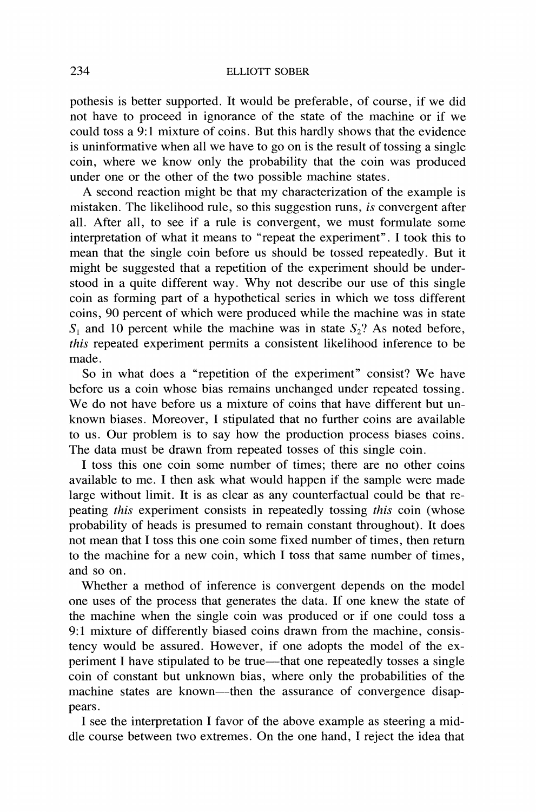### **234 ELLIOTT SOBER**

**pothesis is better supported. It would be preferable, of course, if we did not have to proceed in ignorance of the state of the machine or if we could toss a 9:1 mixture of coins. But this hardly shows that the evidence is uninformative when all we have to go on is the result of tossing a single coin, where we know only the probability that the coin was produced under one or the other of the two possible machine states.** 

**A second reaction might be that my characterization of the example is mistaken. The likelihood rule, so this suggestion runs, is convergent after all. After all, to see if a rule is convergent, we must formulate some interpretation of what it means to "repeat the experiment". I took this to mean that the single coin before us should be tossed repeatedly. But it might be suggested that a repetition of the experiment should be understood in a quite different way. Why not describe our use of this single coin as forming part of a hypothetical series in which we toss different coins, 90 percent of which were produced while the machine was in state**   $S_1$  and 10 percent while the machine was in state  $S_2$ ? As noted before, **this repeated experiment permits a consistent likelihood inference to be made.** 

**So in what does a "repetition of the experiment" consist? We have before us a coin whose bias remains unchanged under repeated tossing. We do not have before us a mixture of coins that have different but unknown biases. Moreover, I stipulated that no further coins are available to us. Our problem is to say how the production process biases coins. The data must be drawn from repeated tosses of this single coin.** 

**I toss this one coin some number of times; there are no other coins available to me. I then ask what would happen if the sample were made large without limit. It is as clear as any counterfactual could be that repeating this experiment consists in repeatedly tossing this coin (whose probability of heads is presumed to remain constant throughout). It does not mean that I toss this one coin some fixed number of times, then return to the machine for a new coin, which I toss that same number of times, and so on.** 

**Whether a method of inference is convergent depends on the model one uses of the process that generates the data. If one knew the state of the machine when the single coin was produced or if one could toss a 9:1 mixture of differently biased coins drawn from the machine, consistency would be assured. However, if one adopts the model of the experiment I have stipulated to be true-that one repeatedly tosses a single coin of constant but unknown bias, where only the probabilities of the**  machine states are known—then the assurance of convergence disap**pears.** 

**I see the interpretation I favor of the above example as steering a middle course between two extremes. On the one hand, I reject the idea that**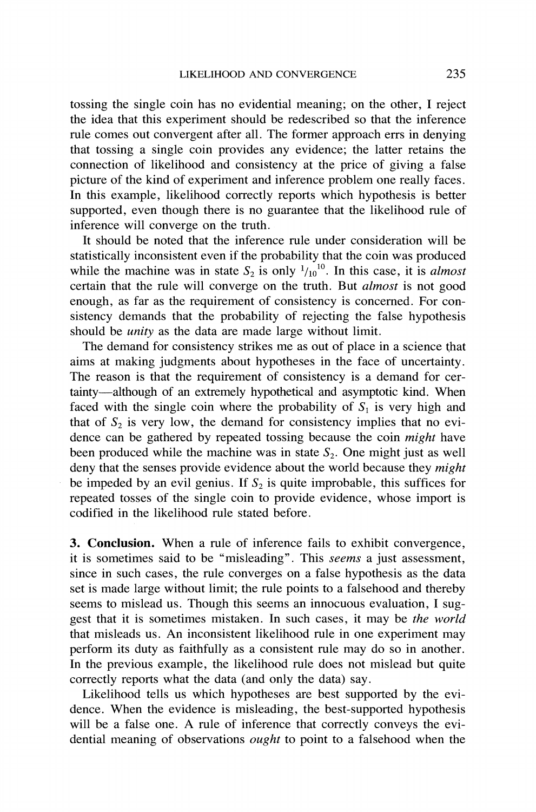**tossing the single coin has no evidential meaning; on the other, I reject the idea that this experiment should be redescribed so that the inference rule comes out convergent after all. The former approach errs in denying that tossing a single coin provides any evidence; the latter retains the connection of likelihood and consistency at the price of giving a false picture of the kind of experiment and inference problem one really faces. In this example, likelihood correctly reports which hypothesis is better supported, even though there is no guarantee that the likelihood rule of inference will converge on the truth.** 

**It should be noted that the inference rule under consideration will be statistically inconsistent even if the probability that the coin was produced**  while the machine was in state  $S_2$  is only  $\frac{1}{10}$ <sup>10</sup>. In this case, it is *almost* **certain that the rule will converge on the truth. But almost is not good enough, as far as the requirement of consistency is concerned. For consistency demands that the probability of rejecting the false hypothesis should be unity as the data are made large without limit.** 

**The demand for consistency strikes me as out of place in a science that aims at making judgments about hypotheses in the face of uncertainty. The reason is that the requirement of consistency is a demand for certainty-although of an extremely hypothetical and asymptotic kind. When**  faced with the single coin where the probability of  $S_1$  is very high and that of  $S_2$  is very low, the demand for consistency implies that no evi**dence can be gathered by repeated tossing because the coin might have**  been produced while the machine was in state  $S_2$ . One might just as well **deny that the senses provide evidence about the world because they might**  be impeded by an evil genius. If  $S_2$  is quite improbable, this suffices for **repeated tosses of the single coin to provide evidence, whose import is codified in the likelihood rule stated before.** 

**3. Conclusion. When a rule of inference fails to exhibit convergence, it is sometimes said to be "misleading". This seems a just assessment, since in such cases, the rule converges on a false hypothesis as the data set is made large without limit; the rule points to a falsehood and thereby seems to mislead us. Though this seems an innocuous evaluation, I suggest that it is sometimes mistaken. In such cases, it may be the world that misleads us. An inconsistent likelihood rule in one experiment may perform its duty as faithfully as a consistent rule may do so in another. In the previous example, the likelihood rule does not mislead but quite correctly reports what the data (and only the data) say.** 

**Likelihood tells us which hypotheses are best supported by the evidence. When the evidence is misleading, the best-supported hypothesis will be a false one. A rule of inference that correctly conveys the evidential meaning of observations ought to point to a falsehood when the**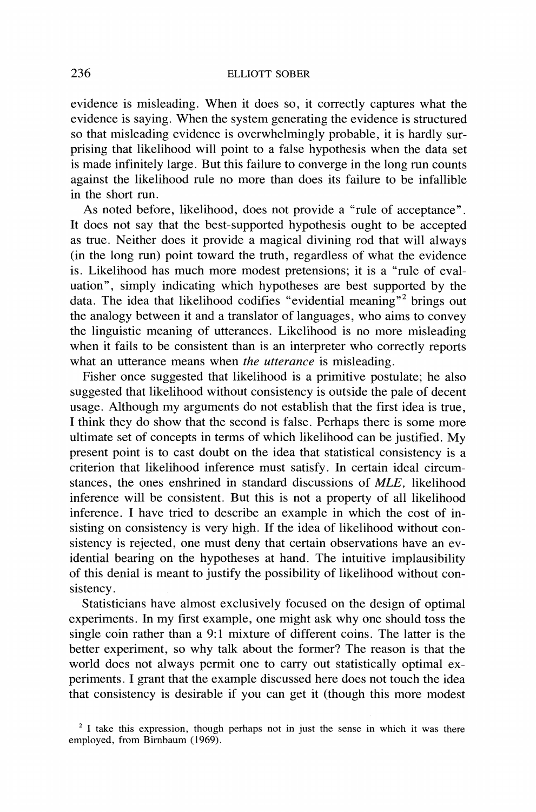## **236 ELLIOTT SOBER**

**evidence is misleading. When it does so, it correctly captures what the evidence is saying. When the system generating the evidence is structured so that misleading evidence is overwhelmingly probable, it is hardly surprising that likelihood will point to a false hypothesis when the data set is made infinitely large. But this failure to converge in the long run counts against the likelihood rule no more than does its failure to be infallible in the short run.** 

**As noted before, likelihood, does not provide a "rule of acceptance". It does not say that the best-supported hypothesis ought to be accepted as true. Neither does it provide a magical divining rod that will always (in the long run) point toward the truth, regardless of what the evidence is. Likelihood has much more modest pretensions; it is a "rule of evaluation", simply indicating which hypotheses are best supported by the**  data. The idea that likelihood codifies "evidential meaning"<sup>2</sup> brings out **the analogy between it and a translator of languages, who aims to convey the linguistic meaning of utterances. Likelihood is no more misleading when it fails to be consistent than is an interpreter who correctly reports what an utterance means when the utterance is misleading.** 

**Fisher once suggested that likelihood is a primitive postulate; he also suggested that likelihood without consistency is outside the pale of decent usage. Although my arguments do not establish that the first idea is true, I think they do show that the second is false. Perhaps there is some more ultimate set of concepts in terms of which likelihood can be justified. My present point is to cast doubt on the idea that statistical consistency is a criterion that likelihood inference must satisfy. In certain ideal circumstances, the ones enshrined in standard discussions of MLE, likelihood inference will be consistent. But this is not a property of all likelihood inference. I have tried to describe an example in which the cost of insisting on consistency is very high. If the idea of likelihood without consistency is rejected, one must deny that certain observations have an evidential bearing on the hypotheses at hand. The intuitive implausibility of this denial is meant to justify the possibility of likelihood without consistency.** 

**Statisticians have almost exclusively focused on the design of optimal experiments. In my first example, one might ask why one should toss the single coin rather than a 9:1 mixture of different coins. The latter is the better experiment, so why talk about the former? The reason is that the world does not always permit one to carry out statistically optimal experiments. I grant that the example discussed here does not touch the idea that consistency is desirable if you can get it (though this more modest** 

**<sup>2</sup>I take this expression, though perhaps not in just the sense in which it was there employed, from Birnbaum (1969).**